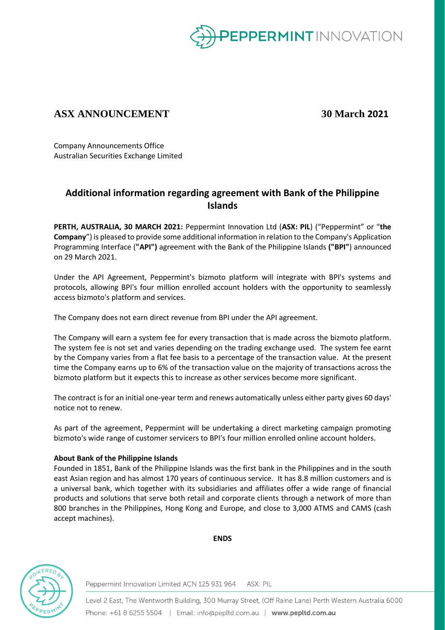

## **ASX ANNOUNCEMENT 30 March 2021**

Company Announcements Office Australian Securities Exchange Limited

## **Additional information regarding agreement with Bank of the Philippine Islands**

**PERTH, AUSTRALIA, 30 MARCH 2021:** Peppermint Innovation Ltd (**ASX: PIL**) ("Peppermint" or "**the Company**") is pleased to provide some additional information in relation to the Company's Application Programming Interface (**"API")** agreement with the Bank of the Philippine Islands **("BPI"**) announced on 29 March 2021.

Under the API Agreement, Peppermint's bizmoto platform will integrate with BPI's systems and protocols, allowing BPI's four million enrolled account holders with the opportunity to seamlessly access bizmoto's platform and services.

The Company does not earn direct revenue from BPI under the API agreement.

The Company will earn a system fee for every transaction that is made across the bizmoto platform. The system fee is not set and varies depending on the trading exchange used. The system fee earnt by the Company varies from a flat fee basis to a percentage of the transaction value. At the present time the Company earns up to 6% of the transaction value on the majority of transactions across the bizmoto platform but it expects this to increase as other services become more significant.

The contract is for an initial one-year term and renews automatically unless either party gives 60 days' notice not to renew.

As part of the agreement, Peppermint will be undertaking a direct marketing campaign promoting bizmoto's wide range of customer servicers to BPI's four million enrolled online account holders.

## **About Bank of the Philippine Islands**

Founded in 1851, Bank of the Philippine Islands was the first bank in the Philippines and in the south east Asian region and has almost 170 years of continuous service. It has 8.8 million customers and is a universal bank, which together with its subsidiaries and affiliates offer a wide range of financial products and solutions that serve both retail and corporate clients through a network of more than 800 branches in the Philippines, Hong Kong and Europe, and close to 3,000 ATMS and CAMS (cash accept machines).



**ENDS**

Peppermint Innovation Limited ACN 125 931 964 ASX: PIL

Level 2 East, The Wentworth Building, 300 Murray Street, (Off Raine Lane) Perth Western Australia 6000 Phone: +61 8 6255 5504 | Email: info@pepltd.com.au | www.pepltd.com.au